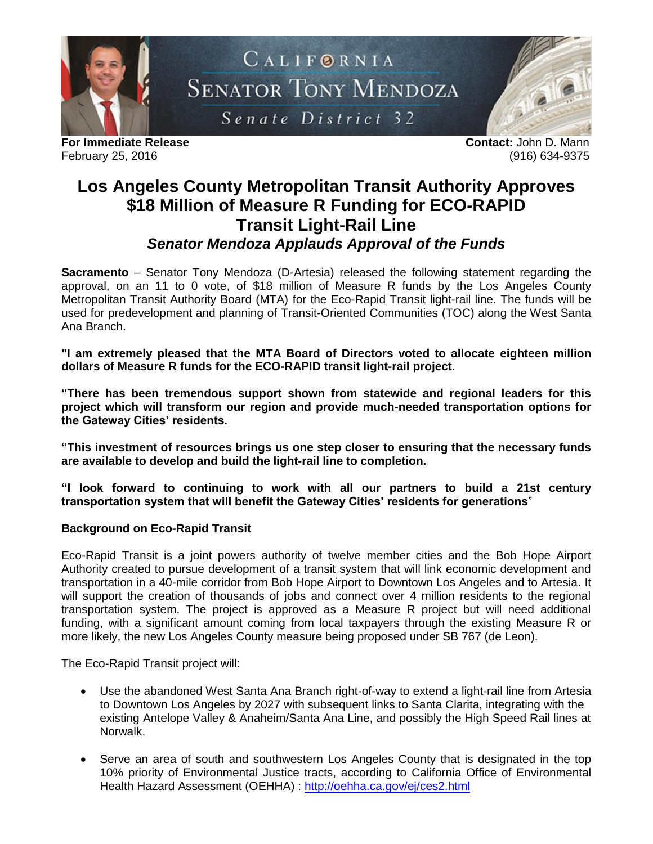

**For Immediate Release Contact:** John D. Mann February 25, 2016 (916) 634-9375

## **Los Angeles County Metropolitan Transit Authority Approves \$18 Million of Measure R Funding for ECO-RAPID Transit Light-Rail Line** *Senator Mendoza Applauds Approval of the Funds*

**Sacramento** – Senator Tony Mendoza (D-Artesia) released the following statement regarding the approval, on an 11 to 0 vote, of \$18 million of Measure R funds by the Los Angeles County Metropolitan Transit Authority Board (MTA) for the Eco-Rapid Transit light-rail line. The funds will be used for predevelopment and planning of Transit-Oriented Communities (TOC) along the West Santa Ana Branch.

**"I am extremely pleased that the MTA Board of Directors voted to allocate eighteen million dollars of Measure R funds for the ECO-RAPID transit light-rail project.** 

**"There has been tremendous support shown from statewide and regional leaders for this project which will transform our region and provide much-needed transportation options for the Gateway Cities' residents.**

**"This investment of resources brings us one step closer to ensuring that the necessary funds are available to develop and build the light-rail line to completion.**

**"I look forward to continuing to work with all our partners to build a 21st century transportation system that will benefit the Gateway Cities' residents for generations**"

## **Background on Eco-Rapid Transit**

Eco-Rapid Transit is a joint powers authority of twelve member cities and the Bob Hope Airport Authority created to pursue development of a transit system that will link economic development and transportation in a 40-mile corridor from Bob Hope Airport to Downtown Los Angeles and to Artesia. It will support the creation of thousands of jobs and connect over 4 million residents to the regional transportation system. The project is approved as a Measure R project but will need additional funding, with a significant amount coming from local taxpayers through the existing Measure R or more likely, the new Los Angeles County measure being proposed under SB 767 (de Leon).

The Eco-Rapid Transit project will:

- Use the abandoned West Santa Ana Branch right-of-way to extend a light-rail line from Artesia to Downtown Los Angeles by 2027 with subsequent links to Santa Clarita, integrating with the existing Antelope Valley & Anaheim/Santa Ana Line, and possibly the High Speed Rail lines at Norwalk.
- Serve an area of south and southwestern Los Angeles County that is designated in the top 10% priority of Environmental Justice tracts, according to California Office of Environmental Health Hazard Assessment (OEHHA) :<http://oehha.ca.gov/ej/ces2.html>